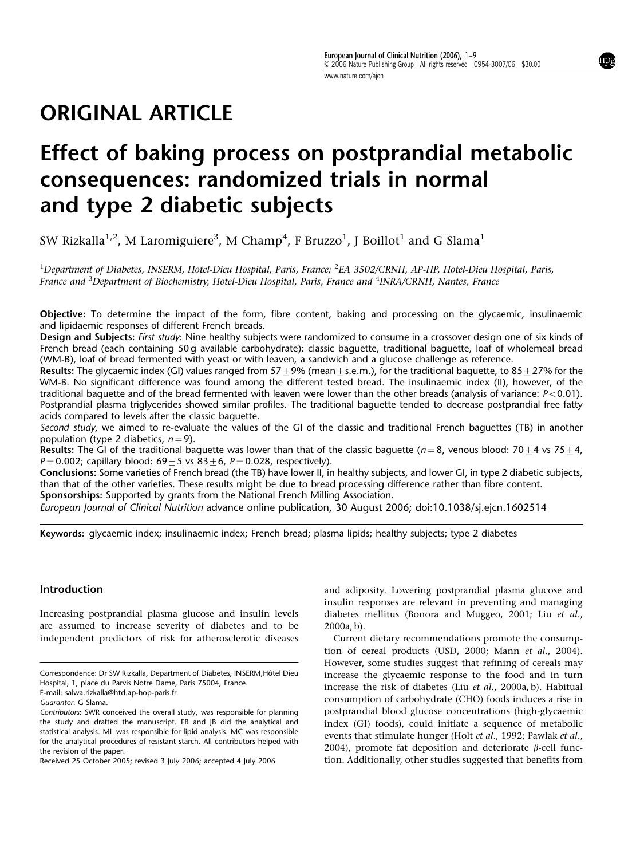# ORIGINAL ARTICLE

# Effect of baking process on postprandial metabolic consequences: randomized trials in normal and type 2 diabetic subjects

SW Rizkalla $^{1,2}$ , M Laromiguiere $^3$ , M Champ $^4$ , F Bruzzo $^1$ , J Boillot $^1$  and G Slama $^1$ 

<sup>1</sup>Department of Diabetes, INSERM, Hotel-Dieu Hospital, Paris, France; <sup>2</sup>EA 3502/CRNH, AP-HP, Hotel-Dieu Hospital, Paris, France and <sup>3</sup>Department of Biochemistry, Hotel-Dieu Hospital, Paris, France and <sup>4</sup>INRA/CRNH, Nantes, France

Objective: To determine the impact of the form, fibre content, baking and processing on the glycaemic, insulinaemic and lipidaemic responses of different French breads.

Design and Subjects: First study: Nine healthy subjects were randomized to consume in a crossover design one of six kinds of French bread (each containing 50 g available carbohydrate): classic baguette, traditional baguette, loaf of wholemeal bread (WM-B), loaf of bread fermented with yeast or with leaven, a sandwich and a glucose challenge as reference.

Results: The glycaemic index (GI) values ranged from  $57+9%$  (mean $+$ s.e.m.), for the traditional baguette, to 85 $+27%$  for the WM-B. No significant difference was found among the different tested bread. The insulinaemic index (II), however, of the traditional baguette and of the bread fermented with leaven were lower than the other breads (analysis of variance:  $P < 0.01$ ). Postprandial plasma triglycerides showed similar profiles. The traditional baguette tended to decrease postprandial free fatty acids compared to levels after the classic baguette.

Second study, we aimed to re-evaluate the values of the GI of the classic and traditional French baquettes (TB) in another population (type 2 diabetics,  $n = 9$ ).

**Results:** The GI of the traditional baguette was lower than that of the classic baguette ( $n = 8$ , venous blood: 70 $\pm$ 4 vs 75 $\pm$ 4,  $P = 0.002$ ; capillary blood:  $69 \pm 5$  vs  $83 \pm 6$ ,  $P = 0.028$ , respectively).

Conclusions: Some varieties of French bread (the TB) have lower II, in healthy subjects, and lower GI, in type 2 diabetic subjects, than that of the other varieties. These results might be due to bread processing difference rather than fibre content. Sponsorships: Supported by grants from the National French Milling Association.

European Journal of Clinical Nutrition advance online publication, 30 August 2006; doi:10.1038/sj.ejcn.1602514

Keywords: glycaemic index; insulinaemic index; French bread; plasma lipids; healthy subjects; type 2 diabetes

### Introduction

Increasing postprandial plasma glucose and insulin levels are assumed to increase severity of diabetes and to be independent predictors of risk for atherosclerotic diseases

and adiposity. Lowering postprandial plasma glucose and insulin responses are relevant in preventing and managing diabetes mellitus (Bonora and Muggeo, 2001; Liu et al., 2000a, b).

Current dietary recommendations promote the consumption of cereal products (USD, 2000; Mann et al., 2004). However, some studies suggest that refining of cereals may increase the glycaemic response to the food and in turn increase the risk of diabetes (Liu et al., 2000a, b). Habitual consumption of carbohydrate (CHO) foods induces a rise in postprandial blood glucose concentrations (high-glycaemic index (GI) foods), could initiate a sequence of metabolic events that stimulate hunger (Holt et al., 1992; Pawlak et al., 2004), promote fat deposition and deteriorate  $\beta$ -cell func-Received 25 October 2005; revised 3 July 2006; accepted 4 July 2006 tion. Additionally, other studies suggested that benefits from

Correspondence: Dr SW Rizkalla, Department of Diabetes, INSERM, Hôtel Dieu Hospital, 1, place du Parvis Notre Dame, Paris 75004, France.

E-mail: salwa.rizkalla@htd.ap-hop-paris.fr

Guarantor: G Slama.

Contributors: SWR conceived the overall study, was responsible for planning the study and drafted the manuscript. FB and JB did the analytical and statistical analysis. ML was responsible for lipid analysis. MC was responsible for the analytical procedures of resistant starch. All contributors helped with the revision of the paper.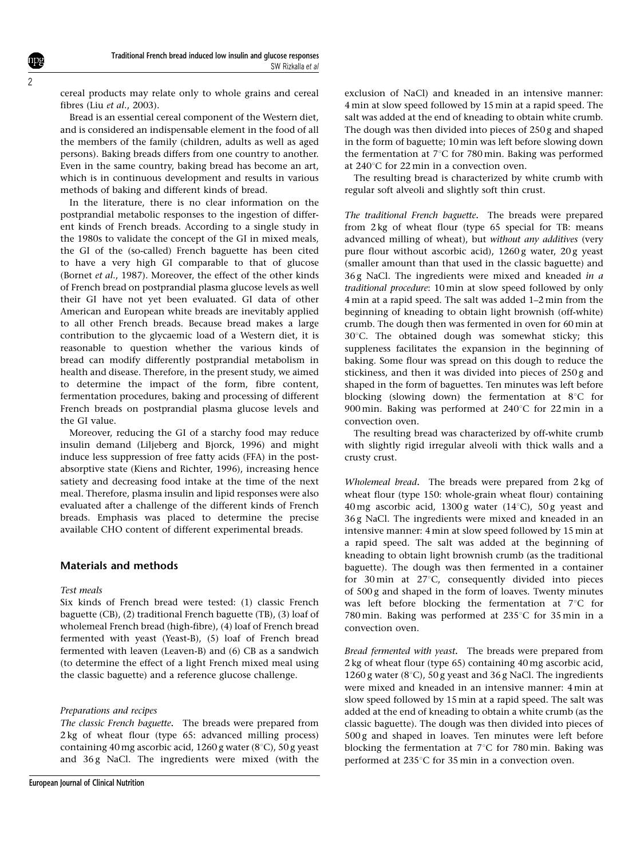cereal products may relate only to whole grains and cereal fibres (Liu et al., 2003).

Bread is an essential cereal component of the Western diet, and is considered an indispensable element in the food of all the members of the family (children, adults as well as aged persons). Baking breads differs from one country to another. Even in the same country, baking bread has become an art, which is in continuous development and results in various methods of baking and different kinds of bread.

In the literature, there is no clear information on the postprandial metabolic responses to the ingestion of different kinds of French breads. According to a single study in the 1980s to validate the concept of the GI in mixed meals, the GI of the (so-called) French baguette has been cited to have a very high GI comparable to that of glucose (Bornet et al., 1987). Moreover, the effect of the other kinds of French bread on postprandial plasma glucose levels as well their GI have not yet been evaluated. GI data of other American and European white breads are inevitably applied to all other French breads. Because bread makes a large contribution to the glycaemic load of a Western diet, it is reasonable to question whether the various kinds of bread can modify differently postprandial metabolism in health and disease. Therefore, in the present study, we aimed to determine the impact of the form, fibre content, fermentation procedures, baking and processing of different French breads on postprandial plasma glucose levels and the GI value.

Moreover, reducing the GI of a starchy food may reduce insulin demand (Liljeberg and Bjorck, 1996) and might induce less suppression of free fatty acids (FFA) in the postabsorptive state (Kiens and Richter, 1996), increasing hence satiety and decreasing food intake at the time of the next meal. Therefore, plasma insulin and lipid responses were also evaluated after a challenge of the different kinds of French breads. Emphasis was placed to determine the precise available CHO content of different experimental breads.

# Materials and methods

### Test meals

Six kinds of French bread were tested: (1) classic French baguette (CB), (2) traditional French baguette (TB), (3) loaf of wholemeal French bread (high-fibre), (4) loaf of French bread fermented with yeast (Yeast-B), (5) loaf of French bread fermented with leaven (Leaven-B) and (6) CB as a sandwich (to determine the effect of a light French mixed meal using the classic baguette) and a reference glucose challenge.

#### Preparations and recipes

The classic French baguette. The breads were prepared from 2 kg of wheat flour (type 65: advanced milling process) containing 40 mg ascorbic acid, 1260 g water (8 $^{\circ}$ C), 50 g yeast and 36g NaCl. The ingredients were mixed (with the

exclusion of NaCl) and kneaded in an intensive manner: 4 min at slow speed followed by 15 min at a rapid speed. The salt was added at the end of kneading to obtain white crumb. The dough was then divided into pieces of 250 g and shaped in the form of baguette; 10 min was left before slowing down the fermentation at  $7^{\circ}$ C for 780 min. Baking was performed at  $240^{\circ}$ C for 22 min in a convection oven.

The resulting bread is characterized by white crumb with regular soft alveoli and slightly soft thin crust.

The traditional French baguette. The breads were prepared from 2 kg of wheat flour (type 65 special for TB: means advanced milling of wheat), but without any additives (very pure flour without ascorbic acid), 1260 g water, 20 g yeast (smaller amount than that used in the classic baguette) and  $36 g$  NaCl. The ingredients were mixed and kneaded in  $a$ traditional procedure: 10 min at slow speed followed by only 4 min at a rapid speed. The salt was added 1–2 min from the beginning of kneading to obtain light brownish (off-white) crumb. The dough then was fermented in oven for 60 min at  $30^{\circ}$ C. The obtained dough was somewhat sticky; this suppleness facilitates the expansion in the beginning of baking. Some flour was spread on this dough to reduce the stickiness, and then it was divided into pieces of 250 g and shaped in the form of baguettes. Ten minutes was left before blocking (slowing down) the fermentation at  $8^{\circ}$ C for 900 min. Baking was performed at  $240^{\circ}$ C for  $22$  min in a convection oven.

The resulting bread was characterized by off-white crumb with slightly rigid irregular alveoli with thick walls and a crusty crust.

Wholemeal bread. The breads were prepared from 2 kg of wheat flour (type 150: whole-grain wheat flour) containing 40 mg ascorbic acid, 1300 g water  $(14^{\circ}C)$ , 50 g yeast and 36 g NaCl. The ingredients were mixed and kneaded in an intensive manner: 4 min at slow speed followed by 15 min at a rapid speed. The salt was added at the beginning of kneading to obtain light brownish crumb (as the traditional baguette). The dough was then fermented in a container for 30 min at  $27^{\circ}$ C, consequently divided into pieces of 500 g and shaped in the form of loaves. Twenty minutes was left before blocking the fermentation at  $7^{\circ}$ C for 780 min. Baking was performed at  $235^{\circ}$ C for 35 min in a convection oven.

Bread fermented with yeast. The breads were prepared from 2 kg of wheat flour (type 65) containing 40 mg ascorbic acid, 1260 g water (8 $^{\circ}$ C), 50 g yeast and 36 g NaCl. The ingredients were mixed and kneaded in an intensive manner: 4 min at slow speed followed by 15 min at a rapid speed. The salt was added at the end of kneading to obtain a white crumb (as the classic baguette). The dough was then divided into pieces of 500 g and shaped in loaves. Ten minutes were left before blocking the fermentation at  $7^{\circ}$ C for 780 min. Baking was performed at  $235^{\circ}$ C for 35 min in a convection oven.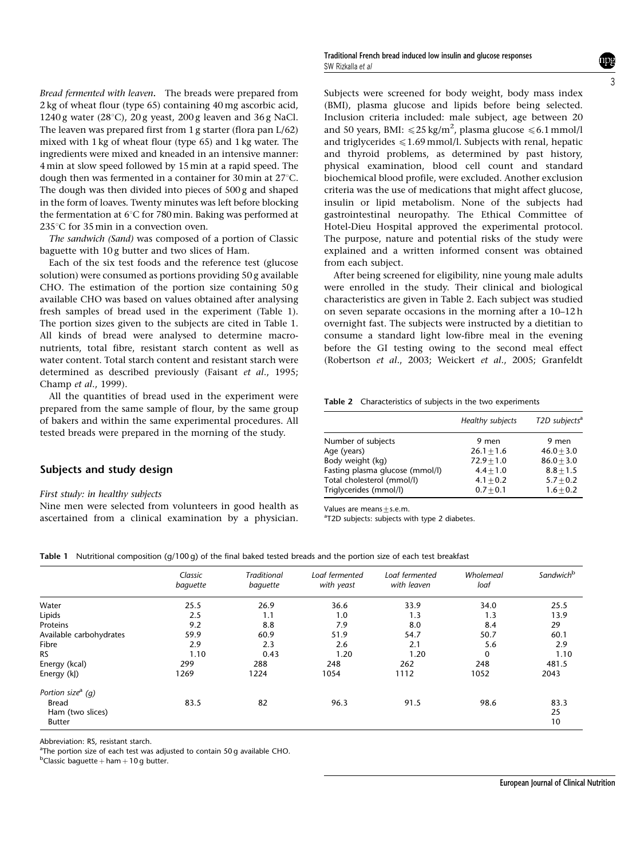Bread fermented with leaven. The breads were prepared from 2 kg of wheat flour (type 65) containing 40 mg ascorbic acid, 1240 g water (28 $^{\circ}$ C), 20 g yeast, 200 g leaven and 36 g NaCl. The leaven was prepared first from 1 g starter (flora pan L/62) mixed with 1 kg of wheat flour (type 65) and 1 kg water. The ingredients were mixed and kneaded in an intensive manner: 4 min at slow speed followed by 15 min at a rapid speed. The dough then was fermented in a container for  $30 \text{ min}$  at  $27^{\circ}$ C. The dough was then divided into pieces of 500 g and shaped in the form of loaves. Twenty minutes was left before blocking the fermentation at  $6^{\circ}$ C for 780 min. Baking was performed at  $235^{\circ}$ C for 35 min in a convection oven.

The sandwich (Sand) was composed of a portion of Classic baguette with 10 g butter and two slices of Ham.

Each of the six test foods and the reference test (glucose solution) were consumed as portions providing 50 g available CHO. The estimation of the portion size containing  $50 g$ available CHO was based on values obtained after analysing fresh samples of bread used in the experiment (Table 1). The portion sizes given to the subjects are cited in Table 1. All kinds of bread were analysed to determine macronutrients, total fibre, resistant starch content as well as water content. Total starch content and resistant starch were determined as described previously (Faisant et al., 1995; Champ et al., 1999).

All the quantities of bread used in the experiment were prepared from the same sample of flour, by the same group of bakers and within the same experimental procedures. All tested breads were prepared in the morning of the study.

## Subjects and study design

#### First study: in healthy subjects

Nine men were selected from volunteers in good health as ascertained from a clinical examination by a physician.

Subjects were screened for body weight, body mass index (BMI), plasma glucose and lipids before being selected. Inclusion criteria included: male subject, age between 20 and 50 years, BMI:  $\leq 25 \text{ kg/m}^2$ , plasma glucose  $\leq 6.1 \text{ mmol/l}$ and triglycerides  $\leq 1.69$  mmol/l. Subjects with renal, hepatic and thyroid problems, as determined by past history, physical examination, blood cell count and standard biochemical blood profile, were excluded. Another exclusion criteria was the use of medications that might affect glucose, insulin or lipid metabolism. None of the subjects had gastrointestinal neuropathy. The Ethical Committee of Hotel-Dieu Hospital approved the experimental protocol. The purpose, nature and potential risks of the study were explained and a written informed consent was obtained from each subject.

After being screened for eligibility, nine young male adults were enrolled in the study. Their clinical and biological characteristics are given in Table 2. Each subject was studied on seven separate occasions in the morning after a 10–12 h overnight fast. The subjects were instructed by a dietitian to consume a standard light low-fibre meal in the evening before the GI testing owing to the second meal effect (Robertson et al., 2003; Weickert et al., 2005; Granfeldt

Table 2 Characteristics of subjects in the two experiments

|                                 | Healthy subjects | T2D subjects <sup>a</sup> |
|---------------------------------|------------------|---------------------------|
| Number of subjects              | 9 men            | 9 men                     |
| Age (years)                     | $26.1 + 1.6$     | $46.0 + 3.0$              |
| Body weight (kg)                | $72.9 + 1.0$     | $86.0 + 3.0$              |
| Fasting plasma glucose (mmol/l) | $4.4 + 1.0$      | $8.8 + 1.5$               |
| Total cholesterol (mmol/l)      | $4.1 + 0.2$      | $5.7 + 0.2$               |
| Triglycerides (mmol/l)          | $0.7 + 0.1$      | $1.6 + 0.2$               |

Values are means $+$ s.e.m.

<sup>a</sup>T2D subjects: subjects with type 2 diabetes.

|  |  | Table 1 Nutritional composition $(g/100 g)$ of the final baked tested breads and the portion size of each test breakfast |  |  |  |  |  |  |  |  |  |  |  |  |  |
|--|--|--------------------------------------------------------------------------------------------------------------------------|--|--|--|--|--|--|--|--|--|--|--|--|--|
|--|--|--------------------------------------------------------------------------------------------------------------------------|--|--|--|--|--|--|--|--|--|--|--|--|--|

|                                                   | Classic<br>baquette | <b>Traditional</b><br>baguette | Loaf fermented<br>with yeast | Loaf fermented<br>with leaven | Wholemeal<br>loaf | Sandwich <sup>b</sup> |
|---------------------------------------------------|---------------------|--------------------------------|------------------------------|-------------------------------|-------------------|-----------------------|
| Water                                             | 25.5                | 26.9                           | 36.6                         | 33.9                          | 34.0              | 25.5                  |
| Lipids                                            | 2.5                 | 1.1                            | 1.0                          | 1.3                           | 1.3               | 13.9                  |
| Proteins                                          | 9.2                 | 8.8                            | 7.9                          | 8.0                           | 8.4               | 29                    |
| Available carbohydrates                           | 59.9                | 60.9                           | 51.9                         | 54.7                          | 50.7              | 60.1                  |
| Fibre                                             | 2.9                 | 2.3                            | 2.6                          | 2.1                           | 5.6               | 2.9                   |
| <b>RS</b>                                         | 1.10                | 0.43                           | 1.20                         | 1.20                          | 0                 | 1.10                  |
| Energy (kcal)                                     | 299                 | 288                            | 248                          | 262                           | 248               | 481.5                 |
| Energy (kJ)                                       | 1269                | 1224                           | 1054                         | 1112                          | 1052              | 2043                  |
| Portion size <sup><math>a</math></sup> (g)        |                     |                                |                              |                               |                   |                       |
| <b>Bread</b><br>Ham (two slices)<br><b>Butter</b> | 83.5                | 82                             | 96.3                         | 91.5                          | 98.6              | 83.3<br>25<br>10      |

Abbreviation: RS, resistant starch.

<sup>a</sup>The portion size of each test was adjusted to contain 50 g available CHO.

 $b$ Classic baguette + ham + 10 g butter.

3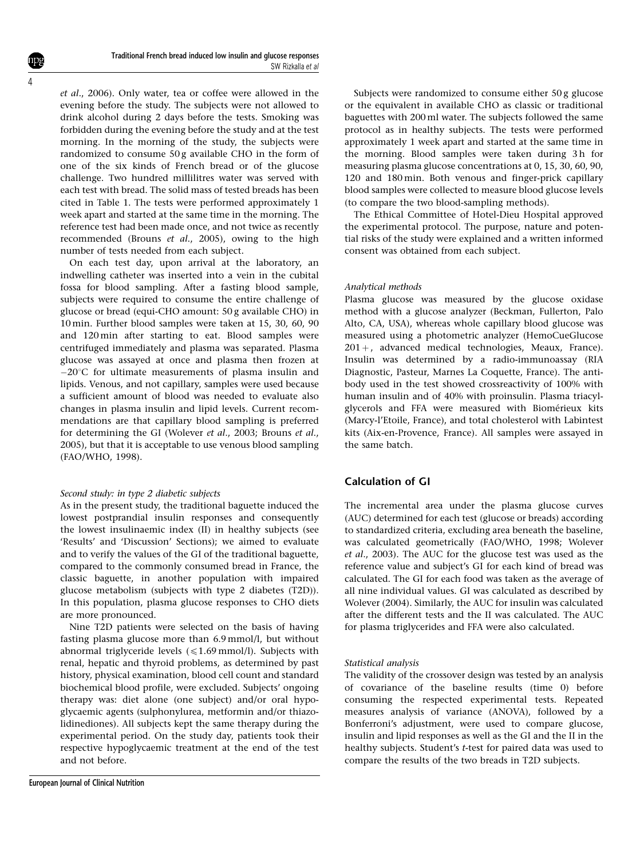et al., 2006). Only water, tea or coffee were allowed in the evening before the study. The subjects were not allowed to drink alcohol during 2 days before the tests. Smoking was forbidden during the evening before the study and at the test morning. In the morning of the study, the subjects were randomized to consume 50 g available CHO in the form of one of the six kinds of French bread or of the glucose challenge. Two hundred millilitres water was served with each test with bread. The solid mass of tested breads has been cited in Table 1. The tests were performed approximately 1 week apart and started at the same time in the morning. The reference test had been made once, and not twice as recently recommended (Brouns et al., 2005), owing to the high number of tests needed from each subject.

On each test day, upon arrival at the laboratory, an indwelling catheter was inserted into a vein in the cubital fossa for blood sampling. After a fasting blood sample, subjects were required to consume the entire challenge of glucose or bread (equi-CHO amount: 50 g available CHO) in 10 min. Further blood samples were taken at 15, 30, 60, 90 and 120 min after starting to eat. Blood samples were centrifuged immediately and plasma was separated. Plasma glucose was assayed at once and plasma then frozen at  $-20^{\circ}$ C for ultimate measurements of plasma insulin and lipids. Venous, and not capillary, samples were used because a sufficient amount of blood was needed to evaluate also changes in plasma insulin and lipid levels. Current recommendations are that capillary blood sampling is preferred for determining the GI (Wolever et al., 2003; Brouns et al., 2005), but that it is acceptable to use venous blood sampling (FAO/WHO, 1998).

### Second study: in type 2 diabetic subjects

As in the present study, the traditional baguette induced the lowest postprandial insulin responses and consequently the lowest insulinaemic index (II) in healthy subjects (see 'Results' and 'Discussion' Sections); we aimed to evaluate and to verify the values of the GI of the traditional baguette, compared to the commonly consumed bread in France, the classic baguette, in another population with impaired glucose metabolism (subjects with type 2 diabetes (T2D)). In this population, plasma glucose responses to CHO diets are more pronounced.

Nine T2D patients were selected on the basis of having fasting plasma glucose more than 6.9 mmol/l, but without abnormal triglyceride levels  $(\leq 1.69 \text{ mmol/l})$ . Subjects with renal, hepatic and thyroid problems, as determined by past history, physical examination, blood cell count and standard biochemical blood profile, were excluded. Subjects' ongoing therapy was: diet alone (one subject) and/or oral hypoglycaemic agents (sulphonylurea, metformin and/or thiazolidinediones). All subjects kept the same therapy during the experimental period. On the study day, patients took their respective hypoglycaemic treatment at the end of the test and not before.

Subjects were randomized to consume either 50 g glucose or the equivalent in available CHO as classic or traditional baguettes with 200 ml water. The subjects followed the same protocol as in healthy subjects. The tests were performed approximately 1 week apart and started at the same time in the morning. Blood samples were taken during 3h for measuring plasma glucose concentrations at 0, 15, 30, 60, 90, 120 and 180 min. Both venous and finger-prick capillary blood samples were collected to measure blood glucose levels (to compare the two blood-sampling methods).

The Ethical Committee of Hotel-Dieu Hospital approved the experimental protocol. The purpose, nature and potential risks of the study were explained and a written informed consent was obtained from each subject.

### Analytical methods

Plasma glucose was measured by the glucose oxidase method with a glucose analyzer (Beckman, Fullerton, Palo Alto, CA, USA), whereas whole capillary blood glucose was measured using a photometric analyzer (HemoCueGlucose  $201 +$ , advanced medical technologies, Meaux, France). Insulin was determined by a radio-immunoassay (RIA Diagnostic, Pasteur, Marnes La Coquette, France). The antibody used in the test showed crossreactivity of 100% with human insulin and of 40% with proinsulin. Plasma triacylglycerols and FFA were measured with Biomérieux kits (Marcy-l'Etoile, France), and total cholesterol with Labintest kits (Aix-en-Provence, France). All samples were assayed in the same batch.

# Calculation of GI

The incremental area under the plasma glucose curves (AUC) determined for each test (glucose or breads) according to standardized criteria, excluding area beneath the baseline, was calculated geometrically (FAO/WHO, 1998; Wolever et al., 2003). The AUC for the glucose test was used as the reference value and subject's GI for each kind of bread was calculated. The GI for each food was taken as the average of all nine individual values. GI was calculated as described by Wolever (2004). Similarly, the AUC for insulin was calculated after the different tests and the II was calculated. The AUC for plasma triglycerides and FFA were also calculated.

### Statistical analysis

The validity of the crossover design was tested by an analysis of covariance of the baseline results (time 0) before consuming the respected experimental tests. Repeated measures analysis of variance (ANOVA), followed by a Bonferroni's adjustment, were used to compare glucose, insulin and lipid responses as well as the GI and the II in the healthy subjects. Student's t-test for paired data was used to compare the results of the two breads in T2D subjects.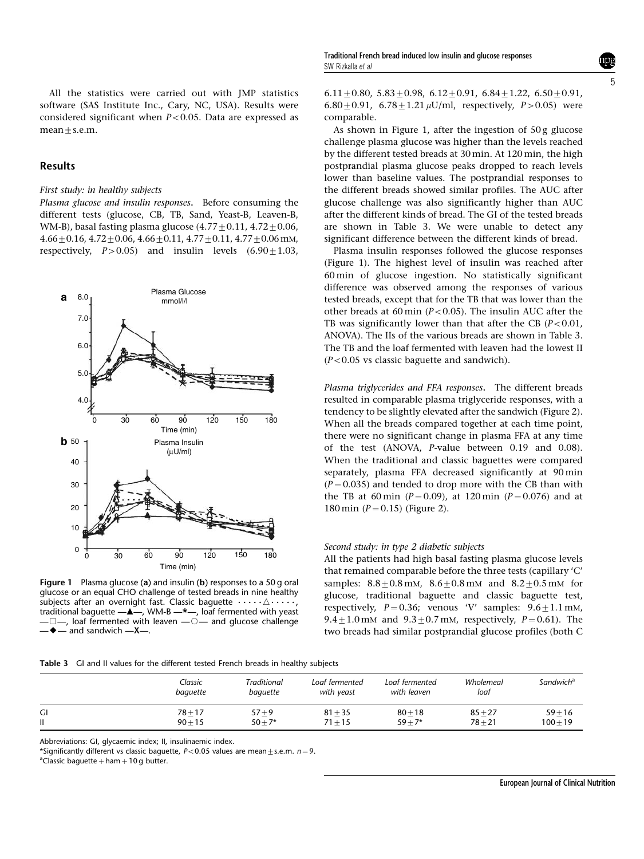All the statistics were carried out with JMP statistics software (SAS Institute Inc., Cary, NC, USA). Results were considered significant when  $P < 0.05$ . Data are expressed as  $mean + s.e.m.$ 

#### Results

#### First study: in healthy subjects

Plasma glucose and insulin responses. Before consuming the different tests (glucose, CB, TB, Sand, Yeast-B, Leaven-B, WM-B), basal fasting plasma glucose  $(4.77 \pm 0.11, 4.72 \pm 0.06,$  $4.66\pm0.16$ ,  $4.72\pm0.06$ ,  $4.66\pm0.11$ ,  $4.77\pm0.11$ ,  $4.77\pm0.06$  mM, respectively,  $P > 0.05$ ) and insulin levels  $(6.90 \pm 1.03,$ 



Figure 1 Plasma glucose (a) and insulin (b) responses to a 50 g oral glucose or an equal CHO challenge of tested breads in nine healthy subjects after an overnight fast. Classic baguette  $\cdots \wedge \cdots$ traditional baguette  $\_\_\_\_\$ , WM-B  $\_\_\_\_\$ , loaf fermented with yeast  $-\Box$ , loaf fermented with leaven  $-\bigcirc$  and glucose challenge  $=$  and sandwich  $X$ —

Table 3 GI and II values for the different tested French breads in healthy subjects

5

6.11+0.80, 5.83+0.98, 6.12+0.91, 6.84+1.22, 6.50+0.91, 6.80 $\pm$ 0.91, 6.78 $\pm$ 1.21  $\mu$ U/ml, respectively, P > 0.05) were comparable.

As shown in Figure 1, after the ingestion of  $50g$  glucose challenge plasma glucose was higher than the levels reached by the different tested breads at 30 min. At 120 min, the high postprandial plasma glucose peaks dropped to reach levels lower than baseline values. The postprandial responses to the different breads showed similar profiles. The AUC after glucose challenge was also significantly higher than AUC after the different kinds of bread. The GI of the tested breads are shown in Table 3. We were unable to detect any significant difference between the different kinds of bread.

Plasma insulin responses followed the glucose responses (Figure 1). The highest level of insulin was reached after 60 min of glucose ingestion. No statistically significant difference was observed among the responses of various tested breads, except that for the TB that was lower than the other breads at 60 min ( $P < 0.05$ ). The insulin AUC after the TB was significantly lower than that after the CB  $(P<0.01$ , ANOVA). The IIs of the various breads are shown in Table 3. The TB and the loaf fermented with leaven had the lowest II  $(P<0.05$  vs classic baguette and sandwich).

Plasma triglycerides and FFA responses. The different breads resulted in comparable plasma triglyceride responses, with a tendency to be slightly elevated after the sandwich (Figure 2). When all the breads compared together at each time point, there were no significant change in plasma FFA at any time of the test (ANOVA, P-value between 0.19 and 0.08). When the traditional and classic baguettes were compared separately, plasma FFA decreased significantly at 90 min  $(P = 0.035)$  and tended to drop more with the CB than with the TB at 60 min ( $P = 0.09$ ), at 120 min ( $P = 0.076$ ) and at 180 min  $(P = 0.15)$  (Figure 2).

### Second study: in type 2 diabetic subjects

All the patients had high basal fasting plasma glucose levels that remained comparable before the three tests (capillary 'C' samples:  $8.8 \pm 0.8$  mM,  $8.6 \pm 0.8$  mM and  $8.2 \pm 0.5$  mM for glucose, traditional baguette and classic baguette test, respectively,  $P = 0.36$ ; venous 'V' samples:  $9.6 \pm 1.1$  mM, 9.4 $\pm$ 1.0 mM and 9.3 $\pm$ 0.7 mM, respectively, P = 0.61). The two breads had similar postprandial glucose profiles (both C

|    | Classic<br>baquette | <b>Traditional</b><br>baquette | Loaf fermented<br>with yeast | Loaf fermented<br>with leaven | Wholemeal<br>loaf | Sandwich <sup>a</sup> |
|----|---------------------|--------------------------------|------------------------------|-------------------------------|-------------------|-----------------------|
| GI | $78 + 17$           | $57 + 9$                       | $81 + 35$                    | $80 + 18$                     | $85 + 27$         | $59 + 16$             |
|    | $90 + 15$           | $50 + 7*$                      | $71 + 15$                    | $59 + 7*$                     | $78 + 21$         | $100 + 19$            |

Abbreviations: GI, glycaemic index; II, insulinaemic index.

\*Significantly different vs classic baguette,  $P < 0.05$  values are mean $\pm$ s.e.m.  $n = 9$ .

<sup>a</sup>Classic baguette + ham + 10 g butter.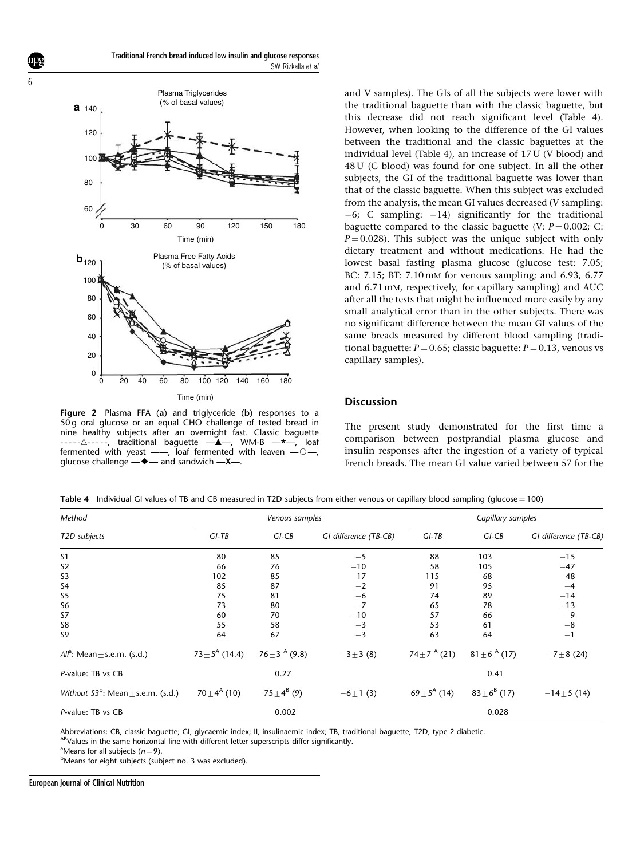Traditional French bread induced low insulin and glucose responses SW Rizkalla et al



Figure 2 Plasma FFA (a) and triglyceride (b) responses to a 50 g oral glucose or an equal CHO challenge of tested bread in nine healthy subjects after an overnight fast. Classic baguette  $---\triangle$ ---- $\rightarrow$ , traditional baguette —**A**—, WM-B —\*—, loaf fermented with yeast  $-\frac{1}{2}$ , loaf fermented with leaven  $-\frac{1}{2}$ , glucose challenge  $-\bullet$  — and sandwich  $-X$ -

and V samples). The GIs of all the subjects were lower with the traditional baguette than with the classic baguette, but this decrease did not reach significant level (Table 4). However, when looking to the difference of the GI values between the traditional and the classic baguettes at the individual level (Table 4), an increase of 17 U (V blood) and 48 U (C blood) was found for one subject. In all the other subjects, the GI of the traditional baguette was lower than that of the classic baguette. When this subject was excluded from the analysis, the mean GI values decreased (V sampling:  $-6$ ; C sampling:  $-14$ ) significantly for the traditional baguette compared to the classic baguette (V:  $P = 0.002$ ; C:  $P = 0.028$ ). This subject was the unique subject with only dietary treatment and without medications. He had the lowest basal fasting plasma glucose (glucose test: 7.05; BC: 7.15; BT: 7.10 mM for venous sampling; and 6.93, 6.77 and 6.71 mM, respectively, for capillary sampling) and AUC after all the tests that might be influenced more easily by any small analytical error than in the other subjects. There was no significant difference between the mean GI values of the same breads measured by different blood sampling (traditional baguette:  $P = 0.65$ ; classic baguette:  $P = 0.13$ , venous vs capillary samples).

# Discussion

The present study demonstrated for the first time a comparison between postprandial plasma glucose and insulin responses after the ingestion of a variety of typical French breads. The mean GI value varied between 57 for the

Table 4 Individual GI values of TB and CB measured in T2D subjects from either venous or capillary blood sampling (glucose  $= 100$ )

| Method                                    |                              | Venous samples          |                       | Capillary samples       |                   |                       |  |  |
|-------------------------------------------|------------------------------|-------------------------|-----------------------|-------------------------|-------------------|-----------------------|--|--|
| T2D subjects                              | $GI-TB$                      | $GI-CB$                 | GI difference (TB-CB) | $GI-TB$                 | $GI-CB$           | GI difference (TB-CB) |  |  |
| S1                                        | 80                           | 85                      | $-5$                  | 88                      | 103               | $-15$                 |  |  |
| S <sub>2</sub>                            | 66                           | 76                      | $-10$                 | 58                      | 105               | $-47$                 |  |  |
| S <sub>3</sub>                            | 102                          | 85                      | 17                    | 115                     | 68                | 48                    |  |  |
| S <sub>4</sub>                            | 85                           | 87                      | $-2$                  | 91                      | 95                | $-4$                  |  |  |
| S <sub>5</sub>                            | 75                           | 81                      | $-6$                  | 74                      | 89                | $-14$                 |  |  |
| S6                                        | 73                           | 80                      | $-7$                  | 65                      | 78                | $-13$                 |  |  |
| S7                                        | 60                           | 70                      | $-10$                 | 57                      | 66                | $-9$                  |  |  |
| S8                                        | 55                           | 58                      | $-3$                  | 53                      | 61                | $-8$                  |  |  |
| S9                                        | 64                           | 67                      | $-3$                  | 63                      | 64                | $-1$                  |  |  |
| $Alf^n$ : Mean $\pm$ s.e.m. (s.d.)        | $73 \pm 5^{\circ}$ (14.4)    | $76 \pm 3$ $^{A}$ (9.8) | $-3 \pm 3(8)$         | 74 ± 7 $^{A}$ (21)      | $81 \pm 6$ ^ (17) | $-7 \pm 8$ (24)       |  |  |
| P-value: TB vs CB                         |                              | 0.27                    |                       |                         | 0.41              |                       |  |  |
| Without $53^b$ : Mean $\pm$ s.e.m. (s.d.) | 70 $\pm$ 4 <sup>A</sup> (10) | $75 \pm 4^8$ (9)        | $-6 \pm 1$ (3)        | $69 \pm 5^{\circ}$ (14) | $83 \pm 6^8$ (17) | $-14\pm 5(14)$        |  |  |
| P-value: TB vs CB                         |                              | 0.002                   |                       |                         | 0.028             |                       |  |  |

Abbreviations: CB, classic baguette; GI, glycaemic index; II, insulinaemic index; TB, traditional baquette; T2D, type 2 diabetic.

ABValues in the same horizontal line with different letter superscripts differ significantly.

<sup>a</sup>Means for all subjects  $(n=9)$ .

<sup>b</sup>Means for eight subjects (subject no. 3 was excluded).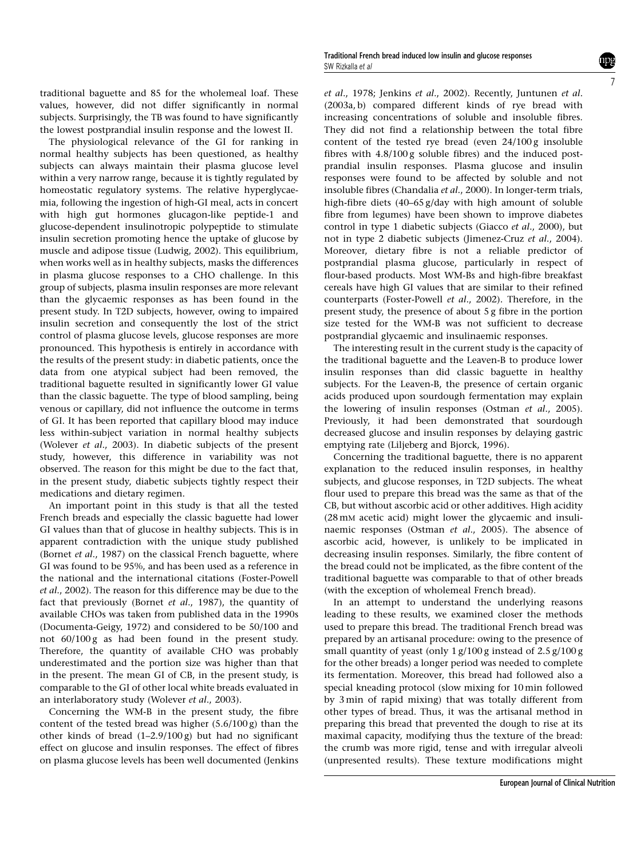The physiological relevance of the GI for ranking in normal healthy subjects has been questioned, as healthy subjects can always maintain their plasma glucose level within a very narrow range, because it is tightly regulated by homeostatic regulatory systems. The relative hyperglycaemia, following the ingestion of high-GI meal, acts in concert with high gut hormones glucagon-like peptide-1 and glucose-dependent insulinotropic polypeptide to stimulate insulin secretion promoting hence the uptake of glucose by muscle and adipose tissue (Ludwig, 2002). This equilibrium, when works well as in healthy subjects, masks the differences in plasma glucose responses to a CHO challenge. In this group of subjects, plasma insulin responses are more relevant than the glycaemic responses as has been found in the present study. In T2D subjects, however, owing to impaired insulin secretion and consequently the lost of the strict control of plasma glucose levels, glucose responses are more pronounced. This hypothesis is entirely in accordance with the results of the present study: in diabetic patients, once the data from one atypical subject had been removed, the traditional baguette resulted in significantly lower GI value than the classic baguette. The type of blood sampling, being venous or capillary, did not influence the outcome in terms of GI. It has been reported that capillary blood may induce less within-subject variation in normal healthy subjects (Wolever et al., 2003). In diabetic subjects of the present study, however, this difference in variability was not observed. The reason for this might be due to the fact that, in the present study, diabetic subjects tightly respect their medications and dietary regimen.

An important point in this study is that all the tested French breads and especially the classic baguette had lower GI values than that of glucose in healthy subjects. This is in apparent contradiction with the unique study published (Bornet et al., 1987) on the classical French baguette, where GI was found to be 95%, and has been used as a reference in the national and the international citations (Foster-Powell et al., 2002). The reason for this difference may be due to the fact that previously (Bornet et al., 1987), the quantity of available CHOs was taken from published data in the 1990s (Documenta-Geigy, 1972) and considered to be 50/100 and not 60/100 g as had been found in the present study. Therefore, the quantity of available CHO was probably underestimated and the portion size was higher than that in the present. The mean GI of CB, in the present study, is comparable to the GI of other local white breads evaluated in an interlaboratory study (Wolever et al., 2003).

Concerning the WM-B in the present study, the fibre content of the tested bread was higher (5.6/100 g) than the other kinds of bread (1–2.9/100 g) but had no significant effect on glucose and insulin responses. The effect of fibres on plasma glucose levels has been well documented (Jenkins et al., 1978; Jenkins et al., 2002). Recently, Juntunen et al. (2003a, b) compared different kinds of rye bread with increasing concentrations of soluble and insoluble fibres. They did not find a relationship between the total fibre content of the tested rye bread (even  $24/100 g$  insoluble fibres with 4.8/100 g soluble fibres) and the induced postprandial insulin responses. Plasma glucose and insulin responses were found to be affected by soluble and not insoluble fibres (Chandalia et al., 2000). In longer-term trials, high-fibre diets (40–65 g/day with high amount of soluble fibre from legumes) have been shown to improve diabetes control in type 1 diabetic subjects (Giacco et al., 2000), but not in type 2 diabetic subjects (Jimenez-Cruz et al., 2004). Moreover, dietary fibre is not a reliable predictor of postprandial plasma glucose, particularly in respect of flour-based products. Most WM-Bs and high-fibre breakfast cereals have high GI values that are similar to their refined counterparts (Foster-Powell et al., 2002). Therefore, in the present study, the presence of about 5 g fibre in the portion size tested for the WM-B was not sufficient to decrease postprandial glycaemic and insulinaemic responses.

The interesting result in the current study is the capacity of the traditional baguette and the Leaven-B to produce lower insulin responses than did classic baguette in healthy subjects. For the Leaven-B, the presence of certain organic acids produced upon sourdough fermentation may explain the lowering of insulin responses (Ostman et al., 2005). Previously, it had been demonstrated that sourdough decreased glucose and insulin responses by delaying gastric emptying rate (Liljeberg and Bjorck, 1996).

Concerning the traditional baguette, there is no apparent explanation to the reduced insulin responses, in healthy subjects, and glucose responses, in T2D subjects. The wheat flour used to prepare this bread was the same as that of the CB, but without ascorbic acid or other additives. High acidity (28 mM acetic acid) might lower the glycaemic and insulinaemic responses (Ostman et al., 2005). The absence of ascorbic acid, however, is unlikely to be implicated in decreasing insulin responses. Similarly, the fibre content of the bread could not be implicated, as the fibre content of the traditional baguette was comparable to that of other breads (with the exception of wholemeal French bread).

In an attempt to understand the underlying reasons leading to these results, we examined closer the methods used to prepare this bread. The traditional French bread was prepared by an artisanal procedure: owing to the presence of small quantity of yeast (only 1 g/100 g instead of 2.5 g/100 g for the other breads) a longer period was needed to complete its fermentation. Moreover, this bread had followed also a special kneading protocol (slow mixing for 10 min followed by 3 min of rapid mixing) that was totally different from other types of bread. Thus, it was the artisanal method in preparing this bread that prevented the dough to rise at its maximal capacity, modifying thus the texture of the bread: the crumb was more rigid, tense and with irregular alveoli (unpresented results). These texture modifications might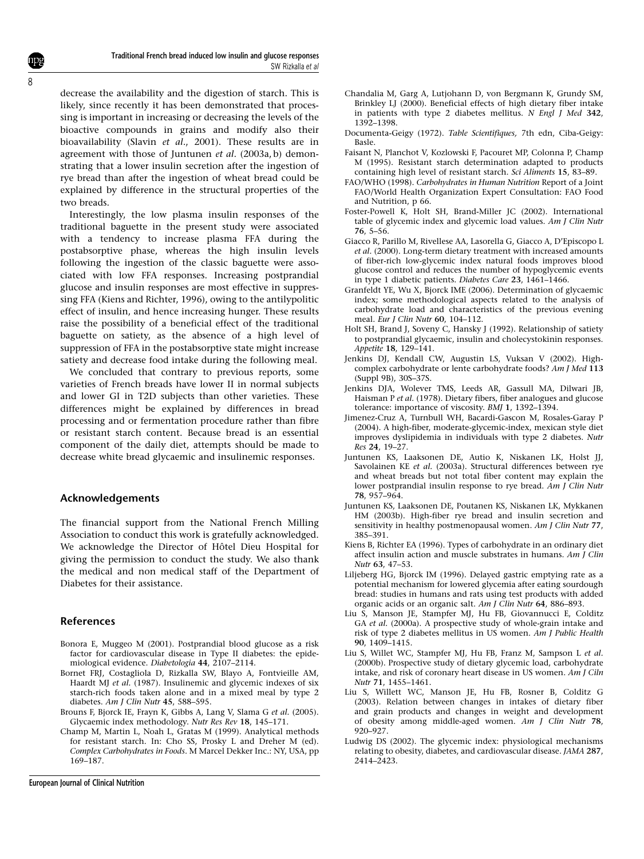decrease the availability and the digestion of starch. This is likely, since recently it has been demonstrated that processing is important in increasing or decreasing the levels of the bioactive compounds in grains and modify also their bioavailability (Slavin et al., 2001). These results are in agreement with those of Juntunen et al. (2003a, b) demonstrating that a lower insulin secretion after the ingestion of rye bread than after the ingestion of wheat bread could be explained by difference in the structural properties of the two breads.

Interestingly, the low plasma insulin responses of the traditional baguette in the present study were associated with a tendency to increase plasma FFA during the postabsorptive phase, whereas the high insulin levels following the ingestion of the classic baguette were associated with low FFA responses. Increasing postprandial glucose and insulin responses are most effective in suppressing FFA (Kiens and Richter, 1996), owing to the antilypolitic effect of insulin, and hence increasing hunger. These results raise the possibility of a beneficial effect of the traditional baguette on satiety, as the absence of a high level of suppression of FFA in the postabsorptive state might increase satiety and decrease food intake during the following meal.

We concluded that contrary to previous reports, some varieties of French breads have lower II in normal subjects and lower GI in T2D subjects than other varieties. These differences might be explained by differences in bread processing and or fermentation procedure rather than fibre or resistant starch content. Because bread is an essential component of the daily diet, attempts should be made to decrease white bread glycaemic and insulinemic responses.

## Acknowledgements

The financial support from the National French Milling Association to conduct this work is gratefully acknowledged. We acknowledge the Director of Hôtel Dieu Hospital for giving the permission to conduct the study. We also thank the medical and non medical staff of the Department of Diabetes for their assistance.

#### References

- Bonora E, Muggeo M (2001). Postprandial blood glucose as a risk factor for cardiovascular disease in Type II diabetes: the epidemiological evidence. Diabetologia 44, 2107–2114.
- Bornet FRJ, Costagliola D, Rizkalla SW, Blayo A, Fontvieille AM, Haardt MJ et al. (1987). Insulinemic and glycemic indexes of six starch-rich foods taken alone and in a mixed meal by type 2 diabetes. Am J Clin Nutr 45, 588-595.
- Brouns F, Bjorck IE, Frayn K, Gibbs A, Lang V, Slama G et al. (2005). Glycaemic index methodology. Nutr Res Rev 18, 145–171.
- Champ M, Martin L, Noah L, Gratas M (1999). Analytical methods for resistant starch. In: Cho SS, Prosky L and Dreher M (ed). Complex Carbohydrates in Foods. M Marcel Dekker Inc.: NY, USA, pp 169–187.

Chandalia M, Garg A, Lutjohann D, von Bergmann K, Grundy SM, Brinkley LJ (2000). Beneficial effects of high dietary fiber intake in patients with type 2 diabetes mellitus. N Engl J Med 342, 1392–1398.

- Documenta-Geigy (1972). Table Scientifiques, 7th edn, Ciba-Geigy: Basle.
- Faisant N, Planchot V, Kozlowski F, Pacouret MP, Colonna P, Champ M (1995). Resistant starch determination adapted to products containing high level of resistant starch. Sci Aliments 15, 83–89.
- FAO/WHO (1998). Carbohydrates in Human Nutrition Report of a Joint FAO/World Health Organization Expert Consultation: FAO Food and Nutrition, p 66.
- Foster-Powell K, Holt SH, Brand-Miller JC (2002). International table of glycemic index and glycemic load values. Am J Clin Nutr 76, 5–56.
- Giacco R, Parillo M, Rivellese AA, Lasorella G, Giacco A, D'Episcopo L et al. (2000). Long-term dietary treatment with increased amounts of fiber-rich low-glycemic index natural foods improves blood glucose control and reduces the number of hypoglycemic events in type 1 diabetic patients. Diabetes Care 23, 1461–1466.
- Granfeldt YE, Wu X, Bjorck IME (2006). Determination of glycaemic index; some methodological aspects related to the analysis of carbohydrate load and characteristics of the previous evening meal. Eur J Clin Nutr 60, 104–112.
- Holt SH, Brand J, Soveny C, Hansky J (1992). Relationship of satiety to postprandial glycaemic, insulin and cholecystokinin responses. Appetite 18, 129–141.
- Jenkins DJ, Kendall CW, Augustin LS, Vuksan V (2002). Highcomplex carbohydrate or lente carbohydrate foods? Am J Med 113 (Suppl 9B), 30S–37S.
- Jenkins DJA, Wolever TMS, Leeds AR, Gassull MA, Dilwari JB, Haisman P et al. (1978). Dietary fibers, fiber analogues and glucose tolerance: importance of viscosity. BMJ 1, 1392–1394.
- Jimenez-Cruz A, Turnbull WH, Bacardi-Gascon M, Rosales-Garay P (2004). A high-fiber, moderate-glycemic-index, mexican style diet improves dyslipidemia in individuals with type 2 diabetes. Nutr Res 24, 19–27.
- Juntunen KS, Laaksonen DE, Autio K, Niskanen LK, Holst JJ, Savolainen KE et al. (2003a). Structural differences between rye and wheat breads but not total fiber content may explain the lower postprandial insulin response to rye bread. Am J Clin Nutr 78, 957–964.
- Juntunen KS, Laaksonen DE, Poutanen KS, Niskanen LK, Mykkanen HM (2003b). High-fiber rye bread and insulin secretion and sensitivity in healthy postmenopausal women. Am J Clin Nutr 77, 385–391.
- Kiens B, Richter EA (1996). Types of carbohydrate in an ordinary diet affect insulin action and muscle substrates in humans. Am J Clin Nutr 63, 47–53.
- Liljeberg HG, Bjorck IM (1996). Delayed gastric emptying rate as a potential mechanism for lowered glycemia after eating sourdough bread: studies in humans and rats using test products with added organic acids or an organic salt. Am J Clin Nutr 64, 886–893.
- Liu S, Manson JE, Stampfer MJ, Hu FB, Giovannucci E, Colditz GA et al. (2000a). A prospective study of whole-grain intake and risk of type 2 diabetes mellitus in US women. Am J Public Health 90, 1409–1415.
- Liu S, Willet WC, Stampfer MJ, Hu FB, Franz M, Sampson L et al. (2000b). Prospective study of dietary glycemic load, carbohydrate intake, and risk of coronary heart disease in US women. Am J Ciln Nutr 71, 1455–1461.
- Liu S, Willett WC, Manson JE, Hu FB, Rosner B, Colditz G (2003). Relation between changes in intakes of dietary fiber and grain products and changes in weight and development of obesity among middle-aged women. Am J Clin Nutr 78, 920–927.
- Ludwig DS (2002). The glycemic index: physiological mechanisms relating to obesity, diabetes, and cardiovascular disease. JAMA 287, 2414–2423.